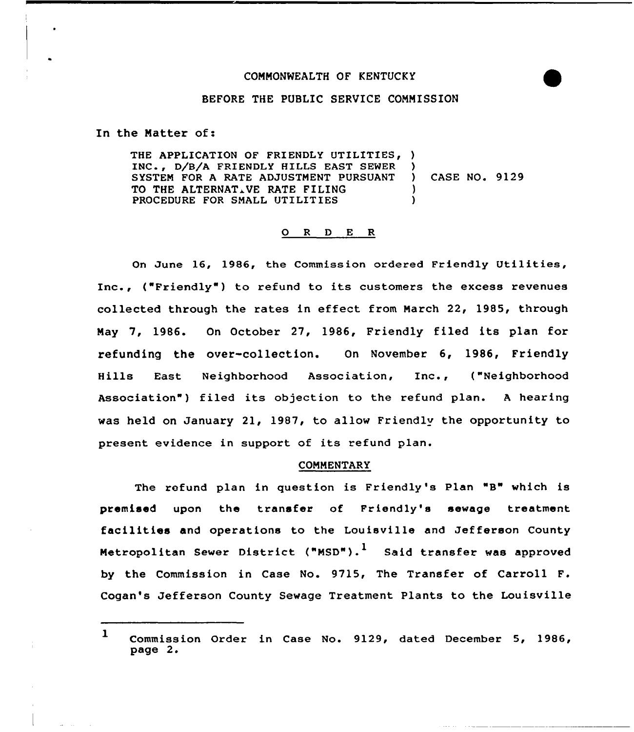# COMMONWEALTH OF KENTUCKY



### BEFORE THE PUBLIC SERUICE COMMISSION

In the Matter of:

THE APPLICATION OF FRIENDLY UTILITIES, ) INC., D/B/A FRIENDLY HILLS EAST SEWER )<br>SYSTEM FOR A RATE ADJUSTMENT PURSUANT ) SYSTEM FOR A RATE ADJUSTMENT PURSUANT ) CASE NO. 9129 TO THE ALTERNATIVE RATE FILING (1999) (1999) PROCEDURE FOR SMALL UTILITIES

### 0 <sup>R</sup> <sup>D</sup> <sup>E</sup> <sup>R</sup>

On June 16, 1986, the Commission ordered Friendly Utilities, Inc., ("Friendly" ) to refund to its customers the excess revenues collected through the rates in effect from Narch 22, 1985, through May 7, 1986. On October 27, 1986, Friendly filed its plan for refunding the over-collection. On November 6, 1986, Friendly Hills East Neighborhood Association, Inc., ("Neighborhood Association") filed its objection to the refund plan. A hearing was held on January 21, 1987, to allow Friendly the opportunity to present evidence in support of its refund plan.

## **COMMENTARY**

The refund plan in question is Friendly's Plan "B" which is premised upon the transfer of Friendly's sewage treatment facilities and operations to the Louisville and Jefferson County Metropolitan Sewer District ("MSD").<sup>1</sup> Said transfer was approved by the Commission in Case No. 9715, The Transfer of Carroll F. Cogan's Jefferson County Sewage Treatment Plants to the Louisville

<sup>1</sup> Commission Order in Case No. 9129, dated December 5, 1986, page 2.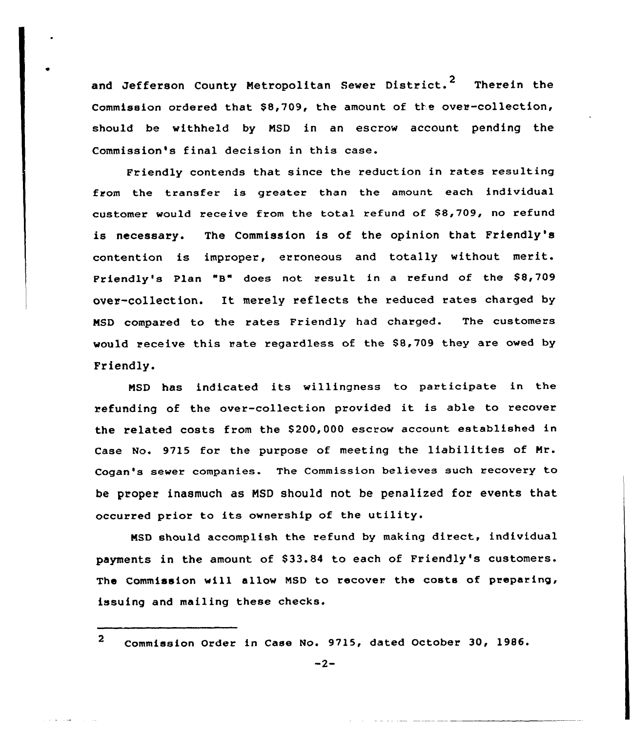and Jefferson County Metropolitan Sewer District.<sup>2</sup> Therein the Commission ordered that \$8,709, the amount of the over-collection, should be withheld by NSD in an escrow account pending the Commission's final decision in this case.

Friendly contends that since the reduction in rates resulting from the transfer is greater than the amount each individual customer would receive from the total refund of \$8,709, no refund is necessary. The Commission is of the opinion that Friendly's contention is improper, erroneous and totally without merit. Friendly's Plan "B" does not result in <sup>a</sup> refund of the \$8,709 over-collection. It merely reflects the reduced rates charged by NSD compared to the rates Friendly had charged. The customers would receive this rate regardless of the \$8,709 they are owed by Friendly.

NSD has indicated its willingness to participate in the refunding of the over-collection provided it is able to recover the related costs from the \$200,000 escrow account established in Case No. 9715 for the purpose of meeting the liabilities of Nr. Cogan's sewer companies. The Commission believes such recovery to be proper inasmuch as NSD should not be penalized for events that occurred prior to its ownership of the utility.

NSD should accomplish the refund by making direct, individual payments in the amount of \$33.84 to each of Friendly's customers. The Commission vill allow NSD to recover the costs of preparing, issuing and mailing these checks.

<sup>2</sup> Commission Order in Case No. 9715, dated October 30, 1986.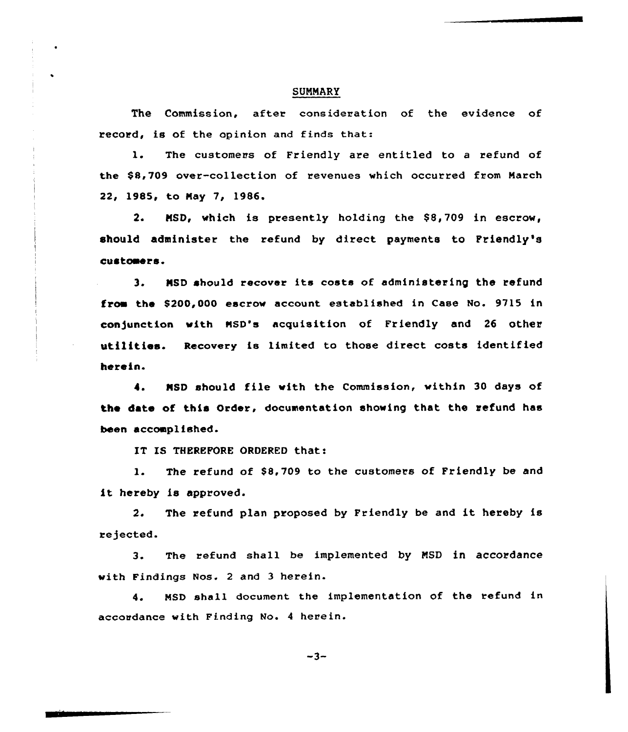### **SUMMARY**

The Commission, after consideration of the evidence of record, is of the opinion and finds that:

1. The customers of Friendly are entitled to <sup>a</sup> refund of the SSi709 over-collection of revenues which occurred from March 22, 1985, to Nay 7, 1986.

2. MSD, which is presently holding the \$8,709 in escrow, should administer the refund by direct payments to Friendly's custoaers.

3. MSD should recover its costs of administering the refund from the \$200,000 escrow account established in Case No. 9715 in con)unction with NSD's acquisition of Friendly and 26 other utilities. Recovery is limited to those direct costs identified herein.

NSD should file with the Commission, within 30 days of  $\bullet$ . the date of this Order, documentation showing that the refund has been accoaplished.

IT IS THEREFORE ORDERED that:

1. The refund of \$8,709 to the customers of Friendly be and it hereby is approved.

2. The refund plan proposed by Friendly be and it hereby is rejected.

3. The refund shall be implemented by NSD in accordance with Findings Nos. 2 and 3 herein.

4. MSD shell document the implementation of the refund in accordance with Finding No. 4 herein.

 $-3-$